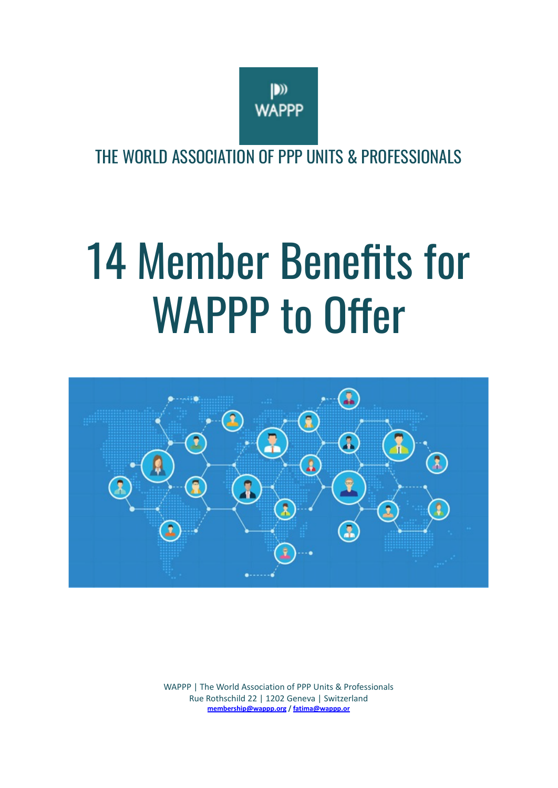

THE WORLD ASSOCIATION OF PPP UNITS & PROFESSIONALS

# 14 Member Benefits for WAPPP to Offer



WAPPP | The World Association of PPP Units & Professionals Rue Rothschild 22 | 1202 Geneva | Switzerland **[membership@wappp.org](mailto:membership@wappp.org) / [fatima@wappp.or](mailto:fatima@wappp.org)**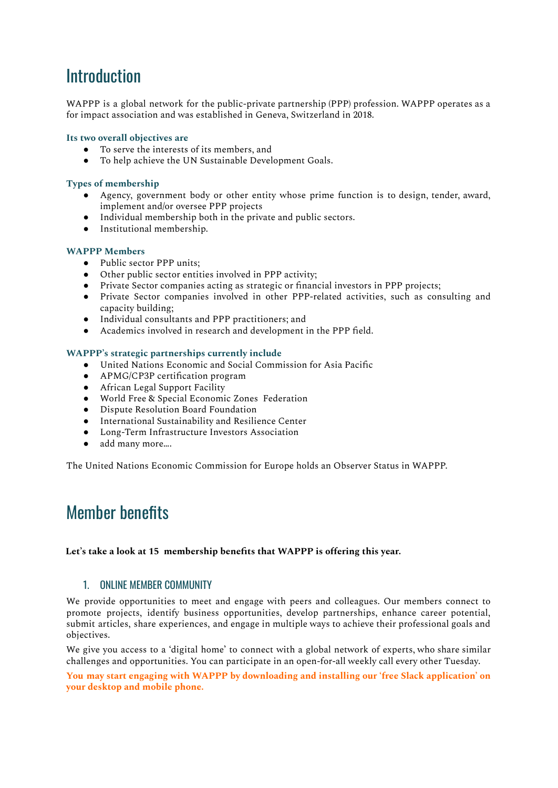# **Introduction**

WAPPP is a global network for the public-private partnership (PPP) profession. WAPPP operates as a for impact association and was established in Geneva, Switzerland in 2018.

# **Its two overall objectives are**

- To serve the interests of its members, and
- To help achieve the UN Sustainable Development Goals.

#### **Types of membership**

- Agency, government body or other entity whose prime function is to design, tender, award, implement and/or oversee PPP projects
- Individual membership both in the private and public sectors.
- Institutional membership.

#### **WAPPP Members**

- Public sector PPP units:
- Other public sector entities involved in PPP activity;
- Private Sector companies acting as strategic or financial investors in PPP projects;
- Private Sector companies involved in other PPP-related activities, such as consulting and capacity building;
- Individual consultants and PPP practitioners; and
- Academics involved in research and development in the PPP field.

#### **WAPPP's strategic partnerships currently include**

- United Nations Economic and Social Commission for Asia Pacific
- APMG/CP3P certification program
- African Legal Support Facility
- World Free & Special Economic Zones Federation
- Dispute Resolution Board Foundation
- International Sustainability and Resilience Center
- Long-Term Infrastructure Investors Association
- add many more....

The United Nations Economic Commission for Europe holds an Observer Status in WAPPP.

# Member benefits

#### **Let's take a look at 15 membership benefits that WAPPP is offering this year.**

#### 1. ONLINE MEMBER COMMUNITY

We provide opportunities to meet and engage with peers and colleagues. Our members connect to promote projects, identify business opportunities, develop partnerships, enhance career potential, submit articles, share experiences, and engage in multiple ways to achieve their professional goals and objectives.

We give you access to a 'digital home' to connect with a global network of experts, who share similar challenges and opportunities. You can participate in an open-for-all weekly call every other Tuesday.

**You may start engaging with WAPPP by downloading and installing our 'free Slack application' on your desktop and mobile phone.**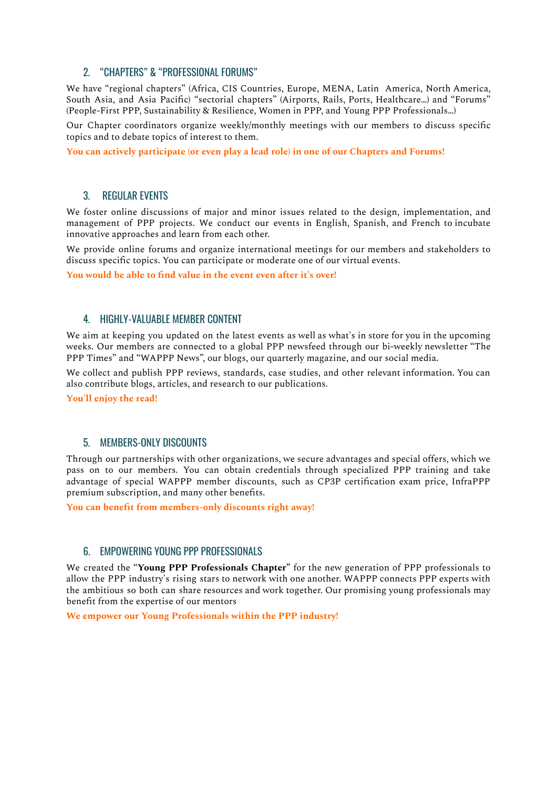# 2. "CHAPTERS" & "PROFESSIONAL FORUMS"

We have "regional chapters" (Africa, CIS Countries, Europe, MENA, Latin America, North America, South Asia, and Asia Pacific) "sectorial chapters" (Airports, Rails, Ports, Healthcare…) and "Forums" (People-First PPP, Sustainability & Resilience, Women in PPP, and Young PPP Professionals…)

Our Chapter coordinators organize weekly/monthly meetings with our members to discuss specific topics and to debate topics of interest to them.

**You can actively participate (or even play a lead role) in one of our Chapters and Forums!**

#### 3. REGULAR EVENTS

We foster online discussions of major and minor issues related to the design, implementation, and management of PPP projects. We conduct our events in English, Spanish, and French to incubate innovative approaches and learn from each other.

We provide online forums and organize international meetings for our members and stakeholders to discuss specific topics. You can participate or moderate one of our virtual events.

**You would be able to find value in the event even after it's over!**

#### 4. HIGHLY-VALUABLE MEMBER CONTENT

We aim at keeping you updated on the latest events as well as what's in store for you in the upcoming weeks. Our members are connected to a global PPP newsfeed through our bi-weekly newsletter "The PPP Times" and "WAPPP News", our blogs, our quarterly magazine, and our social media.

We collect and publish PPP reviews, standards, case studies, and other relevant information. You can also contribute blogs, articles, and research to our publications.

**You'll enjoy the read!**

# 5. MEMBERS-ONLY DISCOUNTS

Through our partnerships with other organizations, we secure advantages and special offers, which we pass on to our members. You can obtain credentials through specialized PPP training and take advantage of special WAPPP member discounts, such as CP3P certification exam price, InfraPPP premium subscription, and many other benefits.

**You can benefit from members-only discounts right away!**

#### 6. EMPOWERING YOUNG PPP PROFESSIONALS

We created the "**Young PPP Professionals Chapter"** for the new generation of PPP professionals to allow the PPP industry's rising stars to network with one another. WAPPP connects PPP experts with the ambitious so both can share resources and work together. Our promising young professionals may benefit from the expertise of our mentors

**We empower our Young Professionals within the PPP industry!**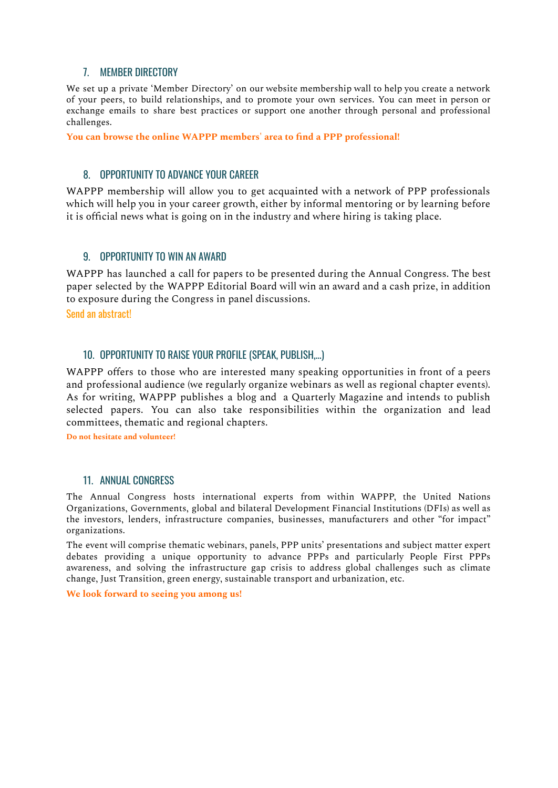# 7. MEMBER DIRECTORY

We set up a private 'Member [Directory'](https://blog.memberclicks.com/membership-directory) on our website membership wall to help you create a network of your peers, to build relationships, and to promote your own services. You can meet in person or exchange emails to share best practices or support one another through personal and professional challenges.

**You can browse the online WAPPP members' area to find a PPP professional!**

# 8. OPPORTUNITY TO ADVANCE YOUR CAREER

WAPPP membership will allow you to get acquainted with a network of PPP professionals which will help you in your career growth, either by informal mentoring or by learning before it is official news what is going on in the industry and where hiring is taking place.

# 9. OPPORTUNITY TO WIN AN AWARD

WAPPP has launched a call for papers to be presented during the Annual Congress. The best paper selected by the WAPPP Editorial Board will win an award and a cash prize, in addition to exposure during the Congress in panel discussions.

Send an abstract!

# 10. OPPORTUNITY TO RAISE YOUR PROFILE (SPEAK, PUBLISH,...)

WAPPP offers to those who are interested many speaking opportunities in front of a peers and professional audience (we regularly organize webinars as well as regional chapter events). As for writing, WAPPP publishes a blog and a Quarterly Magazine and intends to publish selected papers. You can also take responsibilities within the organization and lead committees, thematic and regional chapters.

**Do not hesitate and volunteer!**

## 11. ANNUAL CONGRESS

The Annual Congress hosts international experts from within WAPPP, the United Nations Organizations, Governments, global and bilateral Development Financial Institutions (DFIs) as well as the investors, lenders, infrastructure companies, businesses, manufacturers and other "for impact" organizations.

The event will comprise thematic webinars, panels, PPP units' presentations and subject matter expert debates providing a unique opportunity to advance PPPs and particularly People First PPPs awareness, and solving the infrastructure gap crisis to address global challenges such as climate change, Just Transition, green energy, sustainable transport and urbanization, etc.

**We look forward to seeing you among us!**